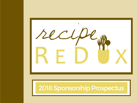

# 2018 Sponsorship Prospectus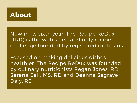## About

Now in its sixth year, The Recipe ReDux (TRR) is the web's first and only recipe challenge founded by registered dietitians.

Focused on making delicious dishes healthier, The Recipe ReDux was founded by culinary nutritionists Regan Jones, RD, Serena Ball, MS, RD and Deanna Segrave-Daly, RD.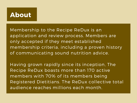### About

Membership to the Recipe ReDux is an application and review process. Members are only accepted if they meet established membership criteria, including a proven history of communicating sound nutrition advice.

Having grown rapidly since its inception, The Recipe ReDux boasts more than 170 active members with 70% of its members being Registered Dietitians. The ReDux collective total audience reaches millions each month.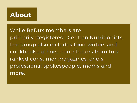## About

While ReDux members are primarily Registered Dietitian Nutritionists, the group also includes food writers and cookbook authors, contributors from topranked consumer magazines, chefs, professional spokespeople, moms and more.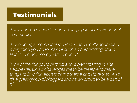## Testimonials

"I have, and continue to, enjoy being a part of this wonderful community!"

"I love being a member of the Redux and I really appreciate everything you do to make it such an outstanding group. Here's to many more years to come!"

"One of the things I love most about participating in The Recipe ReDux is it challenges me to be creative to make things to fit within each month's theme and I love that. Also, it's a great group of bloggers and I'm so proud to be a part of it."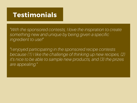## Testimonials

"With the sponsored contests, I love the inspiration to create something new and unique by being given a specific ingredient to use!"

"I enjoyed participating in the sponsored recipe contests because (1) I like the challenge of thinking up new recipes, (2) it's nice to be able to sample new products, and (3) the prizes are appealing."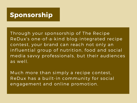#### Sponsorship

Through your sponsorship of The Recipe ReDux's one-of-a-kind blog-integrated recipe contest, your brand can reach not only an influential group of nutrition, food and social media savvy professionals, but their audiences as well.

Much more than simply a recipe contest, ReDux has a built-in community for social engagement and online promotion.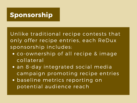## Sponsorship

Unlike traditional recipe contests that only offer recipe entries, each ReDux sponsorship includes:

- co-ownership of all recipe & image collateral
- an 8-day integrated social media campaign promoting recipe entries
- baseline metrics reporting on potential audience reach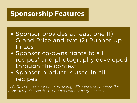#### Sponsorship Features

- Sponsor provides at least one (1) Grand Prize and two (2) Runner Up Prizes
- Sponsor co-owns rights to all recipes\* and photography developed through the contest
- Sponsor product is used in all recipes

\* ReDux contests generate on average 50 entries per contest. Per contest regulations these numbers cannot be guaranteed.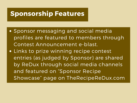#### Sponsorship Features

- Sponsor messaging and social media profiles are featured to members through Contest Announcement e-blast.
- Links to prize winning recipe contest entries (as judged by Sponsor) are shared by ReDux through social media channels and featured on "Sponsor Recipe Showcase " page on TheRecipeReDux.com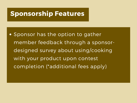#### Sponsorship Features

**.** Sponsor has the option to gather member feedback through a sponsordesigned survey about using/cooking with your product upon contest completion (\*additional fees apply)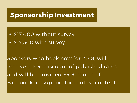## Sponsorship Investment

- \$17,000 without survey
- \$17,500 with survey

Sponsors who book now for 2018, will receive a 10% discount of published rates and will be provided \$300 worth of Facebook ad support for contest content.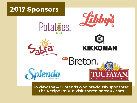





To view the 40+ brands who previously sponsored The Recipe ReDux, visit [thereciperedux.com](http://thereciperedux.com/category/sponsor-showcase/)